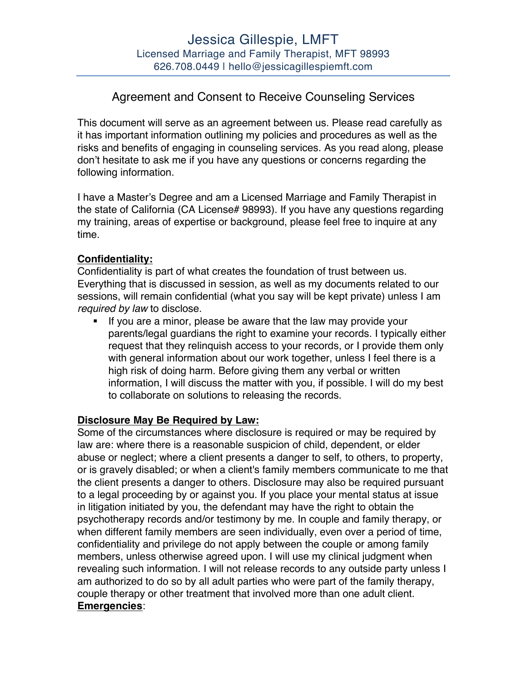# Agreement and Consent to Receive Counseling Services

This document will serve as an agreement between us. Please read carefully as it has important information outlining my policies and procedures as well as the risks and benefits of engaging in counseling services. As you read along, please don't hesitate to ask me if you have any questions or concerns regarding the following information.

I have a Master's Degree and am a Licensed Marriage and Family Therapist in the state of California (CA License# 98993). If you have any questions regarding my training, areas of expertise or background, please feel free to inquire at any time.

## **Confidentiality:**

Confidentiality is part of what creates the foundation of trust between us. Everything that is discussed in session, as well as my documents related to our sessions, will remain confidential (what you say will be kept private) unless I am *required by law* to disclose.

If you are a minor, please be aware that the law may provide your parents/legal guardians the right to examine your records. I typically either request that they relinquish access to your records, or I provide them only with general information about our work together, unless I feel there is a high risk of doing harm. Before giving them any verbal or written information, I will discuss the matter with you, if possible. I will do my best to collaborate on solutions to releasing the records.

#### **Disclosure May Be Required by Law:**

Some of the circumstances where disclosure is required or may be required by law are: where there is a reasonable suspicion of child, dependent, or elder abuse or neglect; where a client presents a danger to self, to others, to property, or is gravely disabled; or when a client's family members communicate to me that the client presents a danger to others. Disclosure may also be required pursuant to a legal proceeding by or against you. If you place your mental status at issue in litigation initiated by you, the defendant may have the right to obtain the psychotherapy records and/or testimony by me. In couple and family therapy, or when different family members are seen individually, even over a period of time, confidentiality and privilege do not apply between the couple or among family members, unless otherwise agreed upon. I will use my clinical judgment when revealing such information. I will not release records to any outside party unless I am authorized to do so by all adult parties who were part of the family therapy, couple therapy or other treatment that involved more than one adult client. **Emergencies**: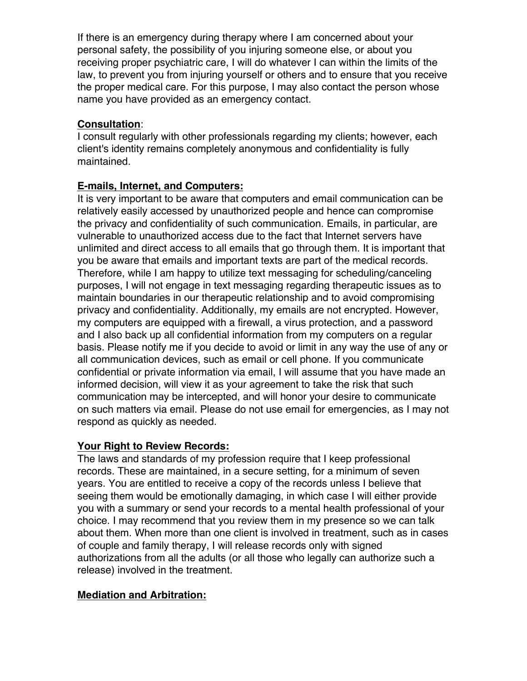If there is an emergency during therapy where I am concerned about your personal safety, the possibility of you injuring someone else, or about you receiving proper psychiatric care, I will do whatever I can within the limits of the law, to prevent you from injuring yourself or others and to ensure that you receive the proper medical care. For this purpose, I may also contact the person whose name you have provided as an emergency contact.

# **Consultation**:

I consult regularly with other professionals regarding my clients; however, each client's identity remains completely anonymous and confidentiality is fully maintained.

## **E-mails, Internet, and Computers:**

It is very important to be aware that computers and email communication can be relatively easily accessed by unauthorized people and hence can compromise the privacy and confidentiality of such communication. Emails, in particular, are vulnerable to unauthorized access due to the fact that Internet servers have unlimited and direct access to all emails that go through them. It is important that you be aware that emails and important texts are part of the medical records. Therefore, while I am happy to utilize text messaging for scheduling/canceling purposes, I will not engage in text messaging regarding therapeutic issues as to maintain boundaries in our therapeutic relationship and to avoid compromising privacy and confidentiality. Additionally, my emails are not encrypted. However, my computers are equipped with a firewall, a virus protection, and a password and I also back up all confidential information from my computers on a regular basis. Please notify me if you decide to avoid or limit in any way the use of any or all communication devices, such as email or cell phone. If you communicate confidential or private information via email, I will assume that you have made an informed decision, will view it as your agreement to take the risk that such communication may be intercepted, and will honor your desire to communicate on such matters via email. Please do not use email for emergencies, as I may not respond as quickly as needed.

#### **Your Right to Review Records:**

The laws and standards of my profession require that I keep professional records. These are maintained, in a secure setting, for a minimum of seven years. You are entitled to receive a copy of the records unless I believe that seeing them would be emotionally damaging, in which case I will either provide you with a summary or send your records to a mental health professional of your choice. I may recommend that you review them in my presence so we can talk about them. When more than one client is involved in treatment, such as in cases of couple and family therapy, I will release records only with signed authorizations from all the adults (or all those who legally can authorize such a release) involved in the treatment.

# **Mediation and Arbitration:**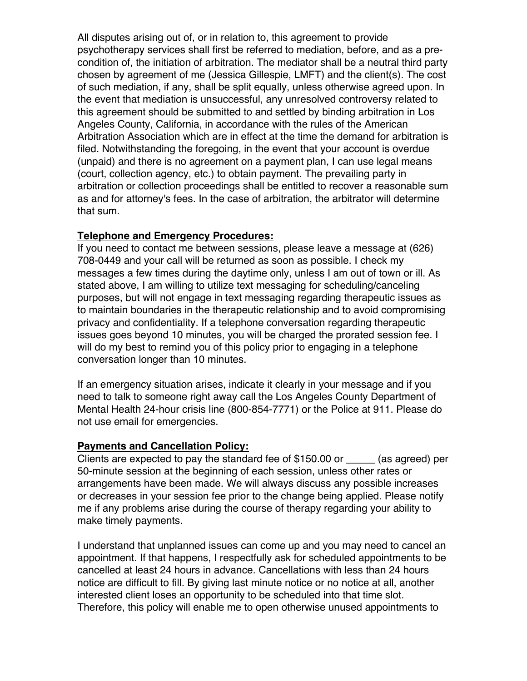All disputes arising out of, or in relation to, this agreement to provide psychotherapy services shall first be referred to mediation, before, and as a precondition of, the initiation of arbitration. The mediator shall be a neutral third party chosen by agreement of me (Jessica Gillespie, LMFT) and the client(s). The cost of such mediation, if any, shall be split equally, unless otherwise agreed upon. In the event that mediation is unsuccessful, any unresolved controversy related to this agreement should be submitted to and settled by binding arbitration in Los Angeles County, California, in accordance with the rules of the American Arbitration Association which are in effect at the time the demand for arbitration is filed. Notwithstanding the foregoing, in the event that your account is overdue (unpaid) and there is no agreement on a payment plan, I can use legal means (court, collection agency, etc.) to obtain payment. The prevailing party in arbitration or collection proceedings shall be entitled to recover a reasonable sum as and for attorney's fees. In the case of arbitration, the arbitrator will determine that sum.

#### **Telephone and Emergency Procedures:**

If you need to contact me between sessions, please leave a message at (626) 708-0449 and your call will be returned as soon as possible. I check my messages a few times during the daytime only, unless I am out of town or ill. As stated above, I am willing to utilize text messaging for scheduling/canceling purposes, but will not engage in text messaging regarding therapeutic issues as to maintain boundaries in the therapeutic relationship and to avoid compromising privacy and confidentiality. If a telephone conversation regarding therapeutic issues goes beyond 10 minutes, you will be charged the prorated session fee. I will do my best to remind you of this policy prior to engaging in a telephone conversation longer than 10 minutes.

If an emergency situation arises, indicate it clearly in your message and if you need to talk to someone right away call the Los Angeles County Department of Mental Health 24-hour crisis line (800-854-7771) or the Police at 911. Please do not use email for emergencies.

# **Payments and Cancellation Policy:**

Clients are expected to pay the standard fee of  $$150.00$  or  $\qquad \qquad$  (as agreed) per 50-minute session at the beginning of each session, unless other rates or arrangements have been made. We will always discuss any possible increases or decreases in your session fee prior to the change being applied. Please notify me if any problems arise during the course of therapy regarding your ability to make timely payments.

I understand that unplanned issues can come up and you may need to cancel an appointment. If that happens, I respectfully ask for scheduled appointments to be cancelled at least 24 hours in advance. Cancellations with less than 24 hours notice are difficult to fill. By giving last minute notice or no notice at all, another interested client loses an opportunity to be scheduled into that time slot. Therefore, this policy will enable me to open otherwise unused appointments to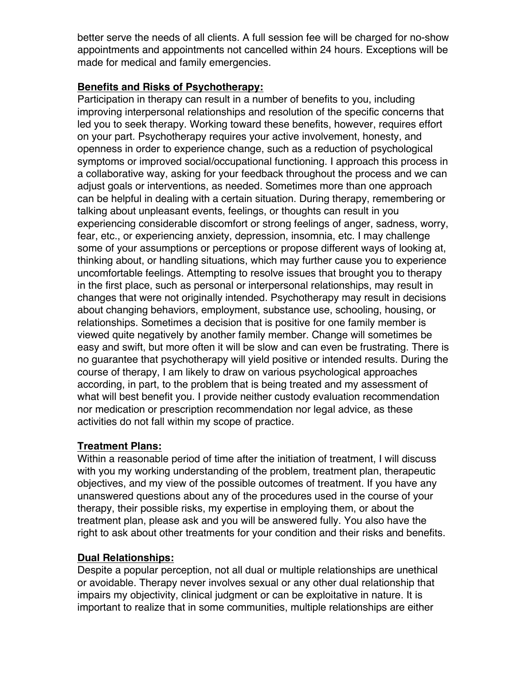better serve the needs of all clients. A full session fee will be charged for no-show appointments and appointments not cancelled within 24 hours. Exceptions will be made for medical and family emergencies.

## **Benefits and Risks of Psychotherapy:**

Participation in therapy can result in a number of benefits to you, including improving interpersonal relationships and resolution of the specific concerns that led you to seek therapy. Working toward these benefits, however, requires effort on your part. Psychotherapy requires your active involvement, honesty, and openness in order to experience change, such as a reduction of psychological symptoms or improved social/occupational functioning. I approach this process in a collaborative way, asking for your feedback throughout the process and we can adjust goals or interventions, as needed. Sometimes more than one approach can be helpful in dealing with a certain situation. During therapy, remembering or talking about unpleasant events, feelings, or thoughts can result in you experiencing considerable discomfort or strong feelings of anger, sadness, worry, fear, etc., or experiencing anxiety, depression, insomnia, etc. I may challenge some of your assumptions or perceptions or propose different ways of looking at, thinking about, or handling situations, which may further cause you to experience uncomfortable feelings. Attempting to resolve issues that brought you to therapy in the first place, such as personal or interpersonal relationships, may result in changes that were not originally intended. Psychotherapy may result in decisions about changing behaviors, employment, substance use, schooling, housing, or relationships. Sometimes a decision that is positive for one family member is viewed quite negatively by another family member. Change will sometimes be easy and swift, but more often it will be slow and can even be frustrating. There is no guarantee that psychotherapy will yield positive or intended results. During the course of therapy, I am likely to draw on various psychological approaches according, in part, to the problem that is being treated and my assessment of what will best benefit you. I provide neither custody evaluation recommendation nor medication or prescription recommendation nor legal advice, as these activities do not fall within my scope of practice.

# **Treatment Plans:**

Within a reasonable period of time after the initiation of treatment, I will discuss with you my working understanding of the problem, treatment plan, therapeutic objectives, and my view of the possible outcomes of treatment. If you have any unanswered questions about any of the procedures used in the course of your therapy, their possible risks, my expertise in employing them, or about the treatment plan, please ask and you will be answered fully. You also have the right to ask about other treatments for your condition and their risks and benefits.

#### **Dual Relationships:**

Despite a popular perception, not all dual or multiple relationships are unethical or avoidable. Therapy never involves sexual or any other dual relationship that impairs my objectivity, clinical judgment or can be exploitative in nature. It is important to realize that in some communities, multiple relationships are either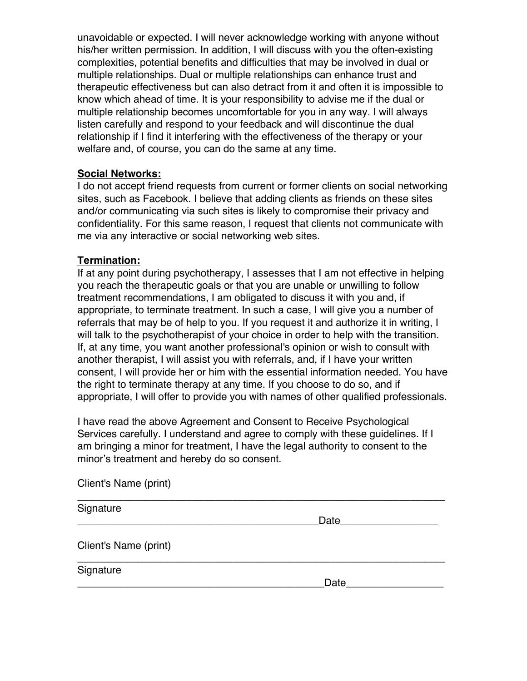unavoidable or expected. I will never acknowledge working with anyone without his/her written permission. In addition, I will discuss with you the often-existing complexities, potential benefits and difficulties that may be involved in dual or multiple relationships. Dual or multiple relationships can enhance trust and therapeutic effectiveness but can also detract from it and often it is impossible to know which ahead of time. It is your responsibility to advise me if the dual or multiple relationship becomes uncomfortable for you in any way. I will always listen carefully and respond to your feedback and will discontinue the dual relationship if I find it interfering with the effectiveness of the therapy or your welfare and, of course, you can do the same at any time.

#### **Social Networks:**

I do not accept friend requests from current or former clients on social networking sites, such as Facebook. I believe that adding clients as friends on these sites and/or communicating via such sites is likely to compromise their privacy and confidentiality. For this same reason, I request that clients not communicate with me via any interactive or social networking web sites.

#### **Termination:**

Client's Name (print)

If at any point during psychotherapy, I assesses that I am not effective in helping you reach the therapeutic goals or that you are unable or unwilling to follow treatment recommendations, I am obligated to discuss it with you and, if appropriate, to terminate treatment. In such a case, I will give you a number of referrals that may be of help to you. If you request it and authorize it in writing, I will talk to the psychotherapist of your choice in order to help with the transition. If, at any time, you want another professional's opinion or wish to consult with another therapist, I will assist you with referrals, and, if I have your written consent, I will provide her or him with the essential information needed. You have the right to terminate therapy at any time. If you choose to do so, and if appropriate, I will offer to provide you with names of other qualified professionals.

I have read the above Agreement and Consent to Receive Psychological Services carefully. I understand and agree to comply with these guidelines. If I am bringing a minor for treatment, I have the legal authority to consent to the minor's treatment and hereby do so consent.

| Signature             |         |
|-----------------------|---------|
|                       | Date___ |
| Client's Name (print) |         |
| Signature             |         |
|                       | Date    |